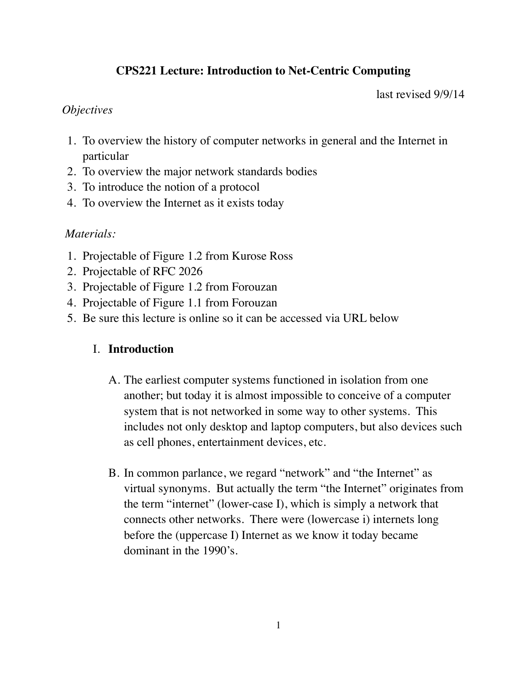# **CPS221 Lecture: Introduction to Net-Centric Computing**

last revised 9/9/14

### *Objectives*

- 1. To overview the history of computer networks in general and the Internet in particular
- 2. To overview the major network standards bodies
- 3. To introduce the notion of a protocol
- 4. To overview the Internet as it exists today

## *Materials:*

- 1. Projectable of Figure 1.2 from Kurose Ross
- 2. Projectable of RFC 2026
- 3. Projectable of Figure 1.2 from Forouzan
- 4. Projectable of Figure 1.1 from Forouzan
- 5. Be sure this lecture is online so it can be accessed via URL below

### I. **Introduction**

- A. The earliest computer systems functioned in isolation from one another; but today it is almost impossible to conceive of a computer system that is not networked in some way to other systems. This includes not only desktop and laptop computers, but also devices such as cell phones, entertainment devices, etc.
- B. In common parlance, we regard "network" and "the Internet" as virtual synonyms. But actually the term "the Internet" originates from the term "internet" (lower-case I), which is simply a network that connects other networks. There were (lowercase i) internets long before the (uppercase I) Internet as we know it today became dominant in the 1990's.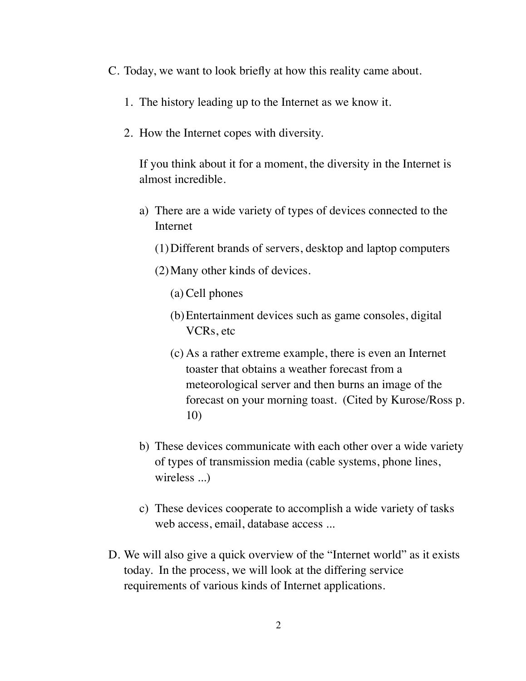- C. Today, we want to look briefly at how this reality came about.
	- 1. The history leading up to the Internet as we know it.
	- 2. How the Internet copes with diversity.

If you think about it for a moment, the diversity in the Internet is almost incredible.

- a) There are a wide variety of types of devices connected to the Internet
	- (1)Different brands of servers, desktop and laptop computers
	- (2)Many other kinds of devices.
		- (a) Cell phones
		- (b)Entertainment devices such as game consoles, digital VCRs, etc
		- (c) As a rather extreme example, there is even an Internet toaster that obtains a weather forecast from a meteorological server and then burns an image of the forecast on your morning toast. (Cited by Kurose/Ross p. 10)
- b) These devices communicate with each other over a wide variety of types of transmission media (cable systems, phone lines, wireless ...)
- c) These devices cooperate to accomplish a wide variety of tasks web access, email, database access ...
- D. We will also give a quick overview of the "Internet world" as it exists today. In the process, we will look at the differing service requirements of various kinds of Internet applications.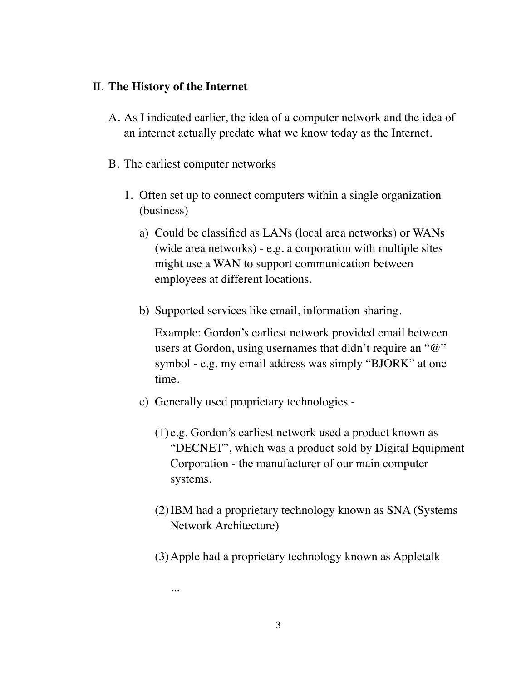#### II. **The History of the Internet**

- A. As I indicated earlier, the idea of a computer network and the idea of an internet actually predate what we know today as the Internet.
- B. The earliest computer networks

...

- 1. Often set up to connect computers within a single organization (business)
	- a) Could be classified as LANs (local area networks) or WANs (wide area networks) - e.g. a corporation with multiple sites might use a WAN to support communication between employees at different locations.
	- b) Supported services like email, information sharing.

Example: Gordon's earliest network provided email between users at Gordon, using usernames that didn't require an "@" symbol - e.g. my email address was simply "BJORK" at one time.

- c) Generally used proprietary technologies
	- (1) e.g. Gordon's earliest network used a product known as "DECNET", which was a product sold by Digital Equipment Corporation - the manufacturer of our main computer systems.
	- (2)IBM had a proprietary technology known as SNA (Systems Network Architecture)
	- (3)Apple had a proprietary technology known as Appletalk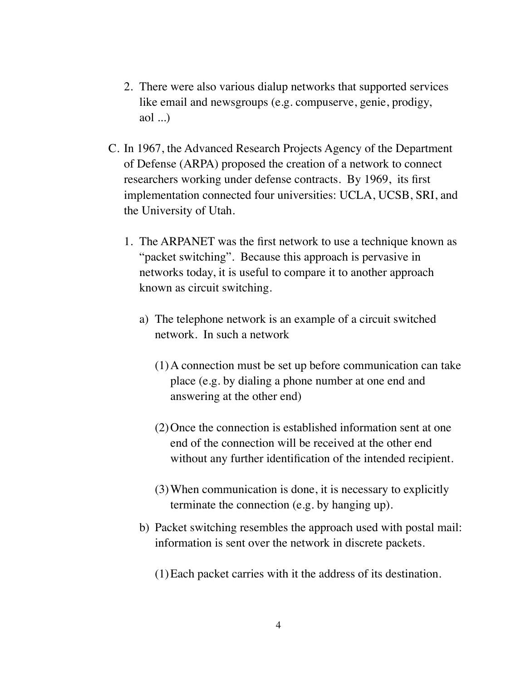- 2. There were also various dialup networks that supported services like email and newsgroups (e.g. compuserve, genie, prodigy, aol ...)
- C. In 1967, the Advanced Research Projects Agency of the Department of Defense (ARPA) proposed the creation of a network to connect researchers working under defense contracts. By 1969, its first implementation connected four universities: UCLA, UCSB, SRI, and the University of Utah.
	- 1. The ARPANET was the first network to use a technique known as "packet switching". Because this approach is pervasive in networks today, it is useful to compare it to another approach known as circuit switching.
		- a) The telephone network is an example of a circuit switched network. In such a network
			- (1)A connection must be set up before communication can take place (e.g. by dialing a phone number at one end and answering at the other end)
			- (2)Once the connection is established information sent at one end of the connection will be received at the other end without any further identification of the intended recipient.
			- (3)When communication is done, it is necessary to explicitly terminate the connection (e.g. by hanging up).
		- b) Packet switching resembles the approach used with postal mail: information is sent over the network in discrete packets.
			- (1)Each packet carries with it the address of its destination.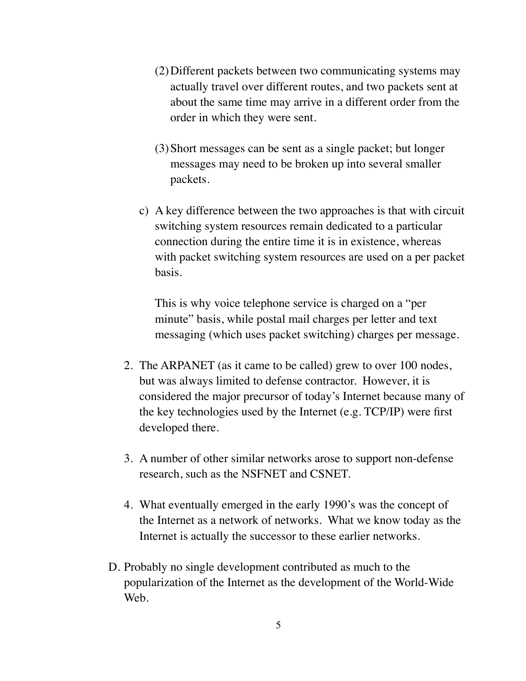- (2)Different packets between two communicating systems may actually travel over different routes, and two packets sent at about the same time may arrive in a different order from the order in which they were sent.
- (3)Short messages can be sent as a single packet; but longer messages may need to be broken up into several smaller packets.
- c) A key difference between the two approaches is that with circuit switching system resources remain dedicated to a particular connection during the entire time it is in existence, whereas with packet switching system resources are used on a per packet basis.

This is why voice telephone service is charged on a "per minute" basis, while postal mail charges per letter and text messaging (which uses packet switching) charges per message.

- 2. The ARPANET (as it came to be called) grew to over 100 nodes, but was always limited to defense contractor. However, it is considered the major precursor of today's Internet because many of the key technologies used by the Internet (e.g. TCP/IP) were first developed there.
- 3. A number of other similar networks arose to support non-defense research, such as the NSFNET and CSNET.
- 4. What eventually emerged in the early 1990's was the concept of the Internet as a network of networks. What we know today as the Internet is actually the successor to these earlier networks.
- D. Probably no single development contributed as much to the popularization of the Internet as the development of the World-Wide Web.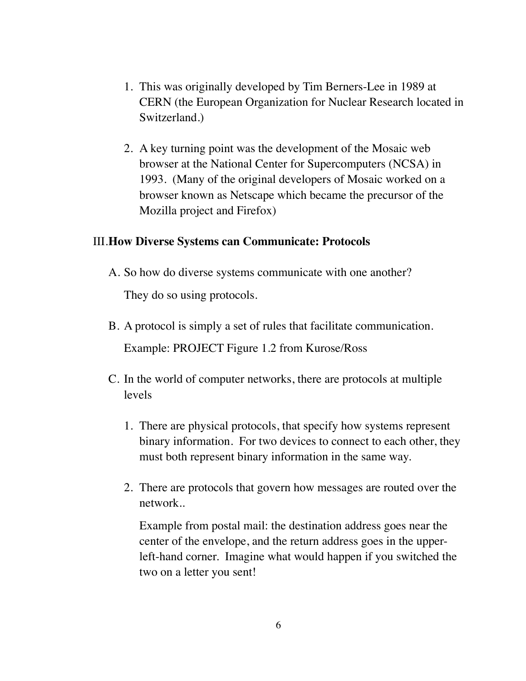- 1. This was originally developed by Tim Berners-Lee in 1989 at CERN (the European Organization for Nuclear Research located in Switzerland.)
- 2. A key turning point was the development of the Mosaic web browser at the National Center for Supercomputers (NCSA) in 1993. (Many of the original developers of Mosaic worked on a browser known as Netscape which became the precursor of the Mozilla project and Firefox)

### III.**How Diverse Systems can Communicate: Protocols**

- A. So how do diverse systems communicate with one another? They do so using protocols.
- B. A protocol is simply a set of rules that facilitate communication. Example: PROJECT Figure 1.2 from Kurose/Ross
- C. In the world of computer networks, there are protocols at multiple levels
	- 1. There are physical protocols, that specify how systems represent binary information. For two devices to connect to each other, they must both represent binary information in the same way.
	- 2. There are protocols that govern how messages are routed over the network..

Example from postal mail: the destination address goes near the center of the envelope, and the return address goes in the upperleft-hand corner. Imagine what would happen if you switched the two on a letter you sent!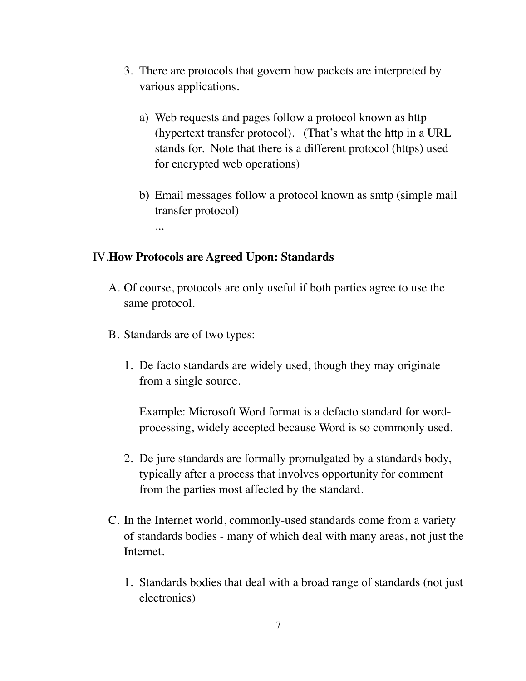- 3. There are protocols that govern how packets are interpreted by various applications.
	- a) Web requests and pages follow a protocol known as http (hypertext transfer protocol). (That's what the http in a URL stands for. Note that there is a different protocol (https) used for encrypted web operations)
	- b) Email messages follow a protocol known as smtp (simple mail transfer protocol)

#### IV.**How Protocols are Agreed Upon: Standards**

- A. Of course, protocols are only useful if both parties agree to use the same protocol.
- B. Standards are of two types:

...

1. De facto standards are widely used, though they may originate from a single source.

Example: Microsoft Word format is a defacto standard for wordprocessing, widely accepted because Word is so commonly used.

- 2. De jure standards are formally promulgated by a standards body, typically after a process that involves opportunity for comment from the parties most affected by the standard.
- C. In the Internet world, commonly-used standards come from a variety of standards bodies - many of which deal with many areas, not just the Internet.
	- 1. Standards bodies that deal with a broad range of standards (not just electronics)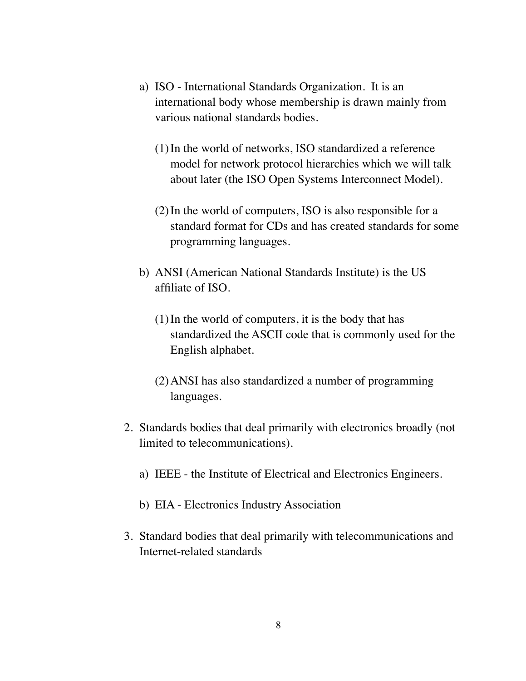- a) ISO International Standards Organization. It is an international body whose membership is drawn mainly from various national standards bodies.
	- (1)In the world of networks, ISO standardized a reference model for network protocol hierarchies which we will talk about later (the ISO Open Systems Interconnect Model).
	- (2)In the world of computers, ISO is also responsible for a standard format for CDs and has created standards for some programming languages.
- b) ANSI (American National Standards Institute) is the US affiliate of ISO.
	- (1)In the world of computers, it is the body that has standardized the ASCII code that is commonly used for the English alphabet.
	- (2)ANSI has also standardized a number of programming languages.
- 2. Standards bodies that deal primarily with electronics broadly (not limited to telecommunications).
	- a) IEEE the Institute of Electrical and Electronics Engineers.
	- b) EIA Electronics Industry Association
- 3. Standard bodies that deal primarily with telecommunications and Internet-related standards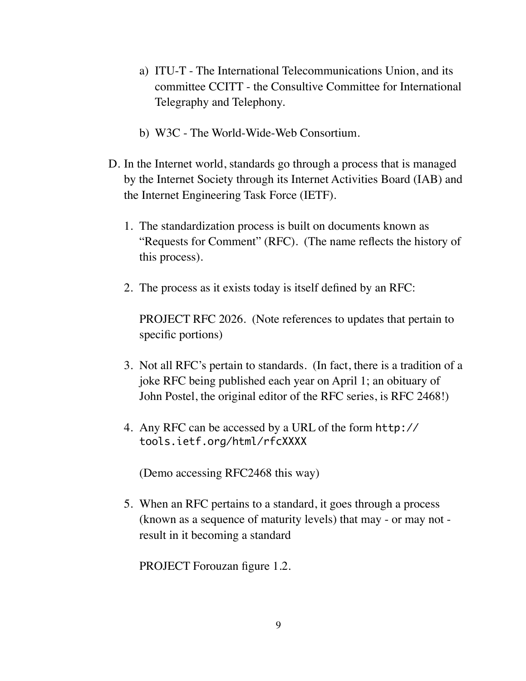- a) ITU-T The International Telecommunications Union, and its committee CCITT - the Consultive Committee for International Telegraphy and Telephony.
- b) W3C The World-Wide-Web Consortium.
- D. In the Internet world, standards go through a process that is managed by the Internet Society through its Internet Activities Board (IAB) and the Internet Engineering Task Force (IETF).
	- 1. The standardization process is built on documents known as "Requests for Comment" (RFC). (The name reflects the history of this process).
	- 2. The process as it exists today is itself defined by an RFC:

PROJECT RFC 2026. (Note references to updates that pertain to specific portions)

- 3. Not all RFC's pertain to standards. (In fact, there is a tradition of a joke RFC being published each year on April 1; an obituary of John Postel, the original editor of the RFC series, is RFC 2468!)
- 4. Any RFC can be accessed by a URL of the form http:// tools.ietf.org/html/rfcXXXX

(Demo accessing RFC2468 this way)

5. When an RFC pertains to a standard, it goes through a process (known as a sequence of maturity levels) that may - or may not result in it becoming a standard

PROJECT Forouzan figure 1.2.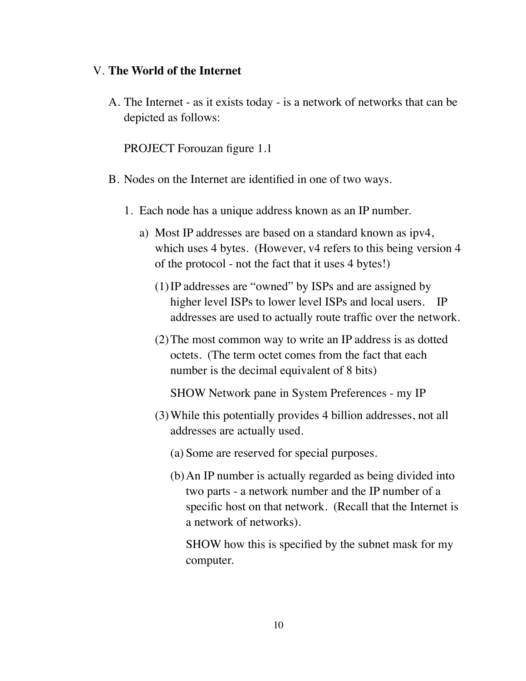#### V. **The World of the Internet**

A. The Internet - as it exists today - is a network of networks that can be depicted as follows:

PROJECT Forouzan figure 1.1

- B. Nodes on the Internet are identified in one of two ways.
	- 1. Each node has a unique address known as an IP number.
		- a) Most IP addresses are based on a standard known as ipv4, which uses 4 bytes. (However, v4 refers to this being version 4 of the protocol - not the fact that it uses 4 bytes!)
			- (1)IP addresses are "owned" by ISPs and are assigned by higher level ISPs to lower level ISPs and local users. IP addresses are used to actually route traffic over the network.
			- (2)The most common way to write an IP address is as dotted octets. (The term octet comes from the fact that each number is the decimal equivalent of 8 bits)

SHOW Network pane in System Preferences - my IP

- (3)While this potentially provides 4 billion addresses, not all addresses are actually used.
	- (a) Some are reserved for special purposes.
	- (b)An IP number is actually regarded as being divided into two parts - a network number and the IP number of a specific host on that network. (Recall that the Internet is a network of networks).

SHOW how this is specified by the subnet mask for my computer.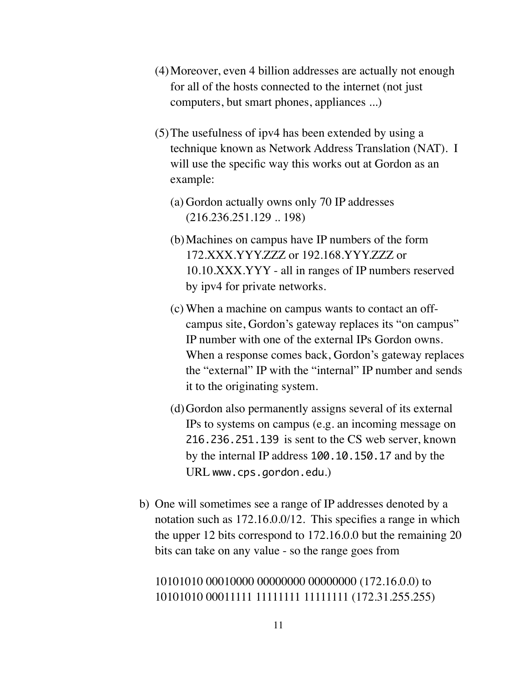- (4)Moreover, even 4 billion addresses are actually not enough for all of the hosts connected to the internet (not just computers, but smart phones, appliances ...)
- (5)The usefulness of ipv4 has been extended by using a technique known as Network Address Translation (NAT). I will use the specific way this works out at Gordon as an example:
	- (a) Gordon actually owns only 70 IP addresses (216.236.251.129 .. 198)
	- (b)Machines on campus have IP numbers of the form 172. XXX. YYY ZZZ or 192.168. YYY ZZZ or 10.10.XXX.YYY - all in ranges of IP numbers reserved by ipv4 for private networks.
	- (c) When a machine on campus wants to contact an offcampus site, Gordon's gateway replaces its "on campus" IP number with one of the external IPs Gordon owns. When a response comes back, Gordon's gateway replaces the "external" IP with the "internal" IP number and sends it to the originating system.
	- (d)Gordon also permanently assigns several of its external IPs to systems on campus (e.g. an incoming message on 216.236.251.139 is sent to the CS web server, known by the internal IP address 100.10.150.17 and by the URL www.cps.gordon.edu.)
- b) One will sometimes see a range of IP addresses denoted by a notation such as 172.16.0.0/12. This specifies a range in which the upper 12 bits correspond to 172.16.0.0 but the remaining 20 bits can take on any value - so the range goes from

## 10101010 00010000 00000000 00000000 (172.16.0.0) to 10101010 00011111 11111111 11111111 (172.31.255.255)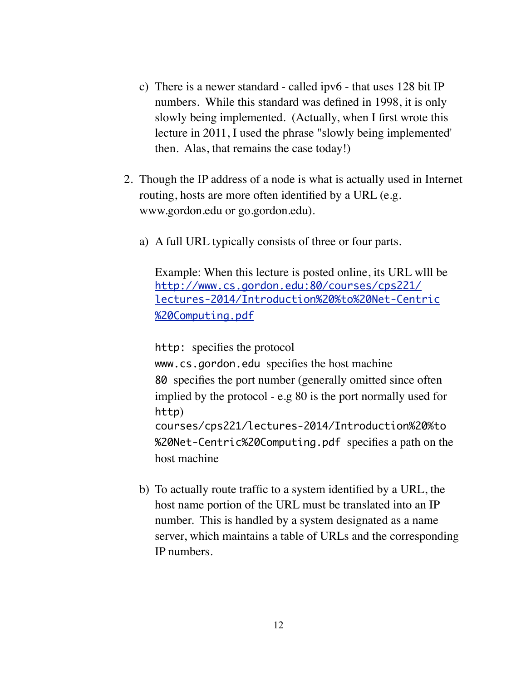- c) There is a newer standard called ipv6 that uses 128 bit IP numbers. While this standard was defined in 1998, it is only slowly being implemented. (Actually, when I first wrote this lecture in 2011, I used the phrase "slowly being implemented' then. Alas, that remains the case today!)
- 2. Though the IP address of a node is what is actually used in Internet routing, hosts are more often identified by a URL (e.g. www.gordon.edu or go.gordon.edu).
	- a) A full URL typically consists of three or four parts.

Example: When this lecture is posted online, its URL wlll be [http://www.cs.gordon.edu:80/courses/cps221/](http://www.cs.gordon.edu:80/courses/cps221/lectures-2014/Introduction%20to%20Net-Centric%20Computing.pdf) [lectures-2014/Introduction%20%to%20Net-Centric](http://www.cs.gordon.edu:80/courses/cps221/lectures-2014/Introduction%20to%20Net-Centric%20Computing.pdf) [%20Computing.pdf](http://www.cs.gordon.edu:80/courses/cps221/lectures-2014/Introduction%20to%20Net-Centric%20Computing.pdf)

http: specifies the protocol

www.cs.gordon.edu specifies the host machine 80 specifies the port number (generally omitted since often implied by the protocol - e.g 80 is the port normally used for http) courses/cps221/lectures-2014/Introduction%20%to %20Net-Centric%20Computing.pdf specifies a path on the host machine

b) To actually route traffic to a system identified by a URL, the host name portion of the URL must be translated into an IP number. This is handled by a system designated as a name server, which maintains a table of URLs and the corresponding IP numbers.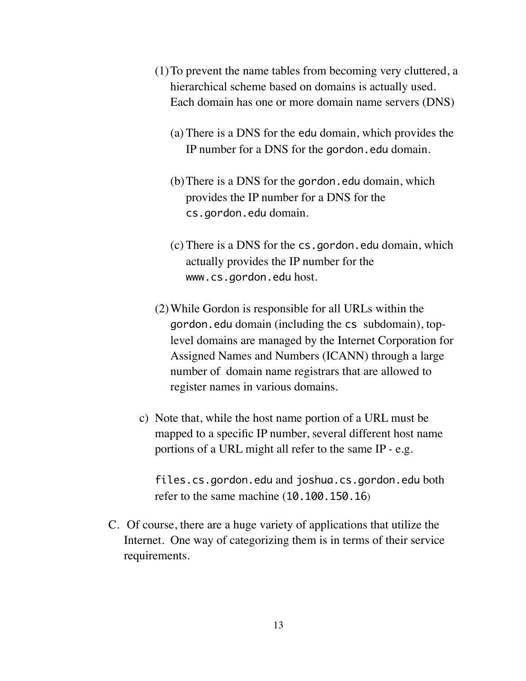- (1)To prevent the name tables from becoming very cluttered, a hierarchical scheme based on domains is actually used. Each domain has one or more domain name servers (DNS)
	- (a) There is a DNS for the edu domain, which provides the IP number for a DNS for the gordon.edu domain.
	- (b)There is a DNS for the gordon.edu domain, which provides the IP number for a DNS for the cs.gordon.edu domain.
	- (c) There is a DNS for the cs.gordon.edu domain, which actually provides the IP number for the www.cs.gordon.edu host.
- (2)While Gordon is responsible for all URLs within the gordon.edu domain (including the cs subdomain), toplevel domains are managed by the Internet Corporation for Assigned Names and Numbers (ICANN) through a large number of domain name registrars that are allowed to register names in various domains.
- c) Note that, while the host name portion of a URL must be mapped to a specific IP number, several different host name portions of a URL might all refer to the same IP - e.g.

files.cs.gordon.edu and joshua.cs.gordon.edu both refer to the same machine (10.100.150.16)

C. Of course, there are a huge variety of applications that utilize the Internet. One way of categorizing them is in terms of their service requirements.